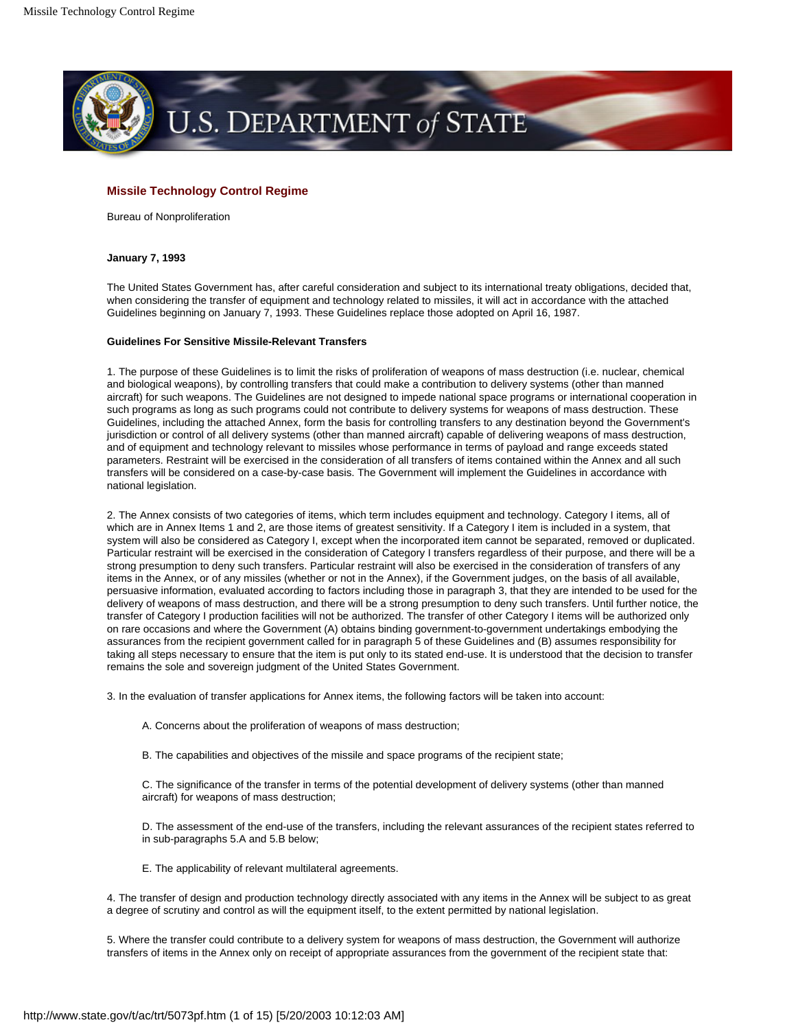

# **Missile Technology Control Regime**

Bureau of Nonproliferation

# **January 7, 1993**

The United States Government has, after careful consideration and subject to its international treaty obligations, decided that, when considering the transfer of equipment and technology related to missiles, it will act in accordance with the attached Guidelines beginning on January 7, 1993. These Guidelines replace those adopted on April 16, 1987.

## **Guidelines For Sensitive Missile-Relevant Transfers**

1. The purpose of these Guidelines is to limit the risks of proliferation of weapons of mass destruction (i.e. nuclear, chemical and biological weapons), by controlling transfers that could make a contribution to delivery systems (other than manned aircraft) for such weapons. The Guidelines are not designed to impede national space programs or international cooperation in such programs as long as such programs could not contribute to delivery systems for weapons of mass destruction. These Guidelines, including the attached Annex, form the basis for controlling transfers to any destination beyond the Government's jurisdiction or control of all delivery systems (other than manned aircraft) capable of delivering weapons of mass destruction, and of equipment and technology relevant to missiles whose performance in terms of payload and range exceeds stated parameters. Restraint will be exercised in the consideration of all transfers of items contained within the Annex and all such transfers will be considered on a case-by-case basis. The Government will implement the Guidelines in accordance with national legislation.

2. The Annex consists of two categories of items, which term includes equipment and technology. Category I items, all of which are in Annex Items 1 and 2, are those items of greatest sensitivity. If a Category I item is included in a system, that system will also be considered as Category I, except when the incorporated item cannot be separated, removed or duplicated. Particular restraint will be exercised in the consideration of Category I transfers regardless of their purpose, and there will be a strong presumption to deny such transfers. Particular restraint will also be exercised in the consideration of transfers of any items in the Annex, or of any missiles (whether or not in the Annex), if the Government judges, on the basis of all available, persuasive information, evaluated according to factors including those in paragraph 3, that they are intended to be used for the delivery of weapons of mass destruction, and there will be a strong presumption to deny such transfers. Until further notice, the transfer of Category I production facilities will not be authorized. The transfer of other Category I items will be authorized only on rare occasions and where the Government (A) obtains binding government-to-government undertakings embodying the assurances from the recipient government called for in paragraph 5 of these Guidelines and (B) assumes responsibility for taking all steps necessary to ensure that the item is put only to its stated end-use. It is understood that the decision to transfer remains the sole and sovereign judgment of the United States Government.

3. In the evaluation of transfer applications for Annex items, the following factors will be taken into account:

- A. Concerns about the proliferation of weapons of mass destruction;
- B. The capabilities and objectives of the missile and space programs of the recipient state;

C. The significance of the transfer in terms of the potential development of delivery systems (other than manned aircraft) for weapons of mass destruction;

D. The assessment of the end-use of the transfers, including the relevant assurances of the recipient states referred to in sub-paragraphs 5.A and 5.B below;

E. The applicability of relevant multilateral agreements.

4. The transfer of design and production technology directly associated with any items in the Annex will be subject to as great a degree of scrutiny and control as will the equipment itself, to the extent permitted by national legislation.

5. Where the transfer could contribute to a delivery system for weapons of mass destruction, the Government will authorize transfers of items in the Annex only on receipt of appropriate assurances from the government of the recipient state that: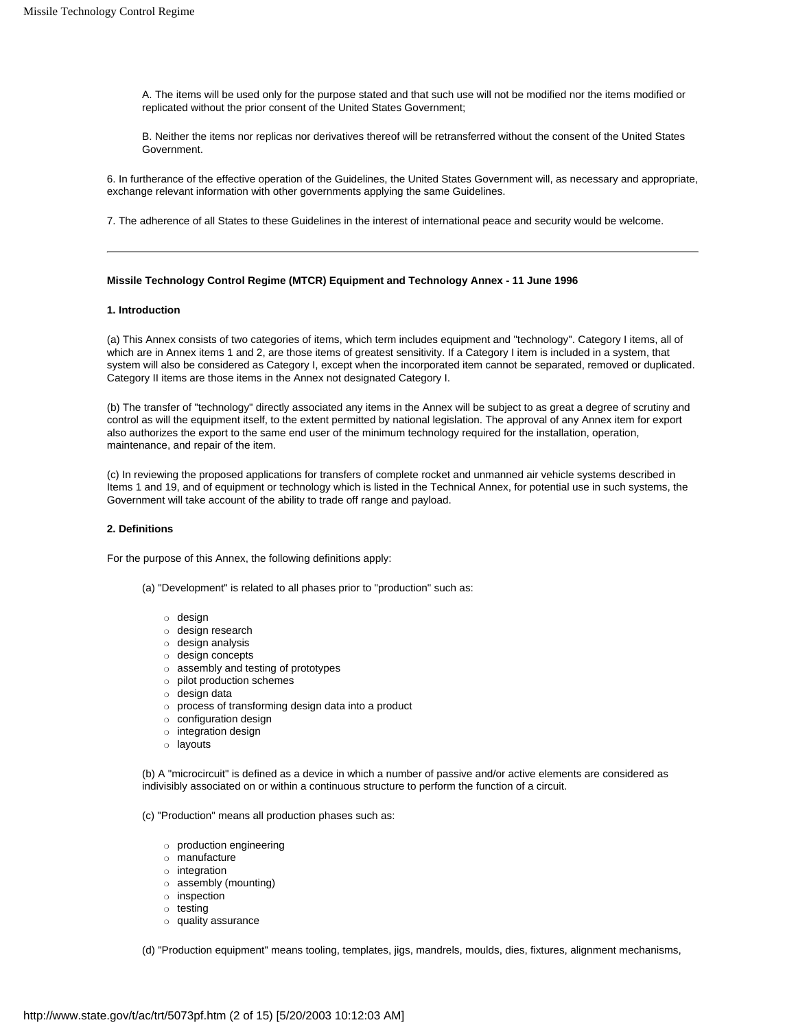A. The items will be used only for the purpose stated and that such use will not be modified nor the items modified or replicated without the prior consent of the United States Government;

B. Neither the items nor replicas nor derivatives thereof will be retransferred without the consent of the United States Government.

6. In furtherance of the effective operation of the Guidelines, the United States Government will, as necessary and appropriate, exchange relevant information with other governments applying the same Guidelines.

7. The adherence of all States to these Guidelines in the interest of international peace and security would be welcome.

## **Missile Technology Control Regime (MTCR) Equipment and Technology Annex - 11 June 1996**

# **1. Introduction**

(a) This Annex consists of two categories of items, which term includes equipment and "technology". Category I items, all of which are in Annex items 1 and 2, are those items of greatest sensitivity. If a Category I item is included in a system, that system will also be considered as Category I, except when the incorporated item cannot be separated, removed or duplicated. Category II items are those items in the Annex not designated Category I.

(b) The transfer of "technology" directly associated any items in the Annex will be subject to as great a degree of scrutiny and control as will the equipment itself, to the extent permitted by national legislation. The approval of any Annex item for export also authorizes the export to the same end user of the minimum technology required for the installation, operation, maintenance, and repair of the item.

(c) In reviewing the proposed applications for transfers of complete rocket and unmanned air vehicle systems described in Items 1 and 19, and of equipment or technology which is listed in the Technical Annex, for potential use in such systems, the Government will take account of the ability to trade off range and payload.

# **2. Definitions**

For the purpose of this Annex, the following definitions apply:

- (a) "Development" is related to all phases prior to "production" such as:
	- ❍ design
	- ❍ design research
	- ❍ design analysis
	- ❍ design concepts
	- ❍ assembly and testing of prototypes
	- ❍ pilot production schemes
	- ❍ design data
	- ❍ process of transforming design data into a product
	- ❍ configuration design
	- ❍ integration design
	- ❍ layouts

(b) A "microcircuit" is defined as a device in which a number of passive and/or active elements are considered as indivisibly associated on or within a continuous structure to perform the function of a circuit.

(c) "Production" means all production phases such as:

- ❍ production engineering
- ❍ manufacture
- ❍ integration
- ❍ assembly (mounting)
- ❍ inspection
- ❍ testing
- ❍ quality assurance

(d) "Production equipment" means tooling, templates, jigs, mandrels, moulds, dies, fixtures, alignment mechanisms,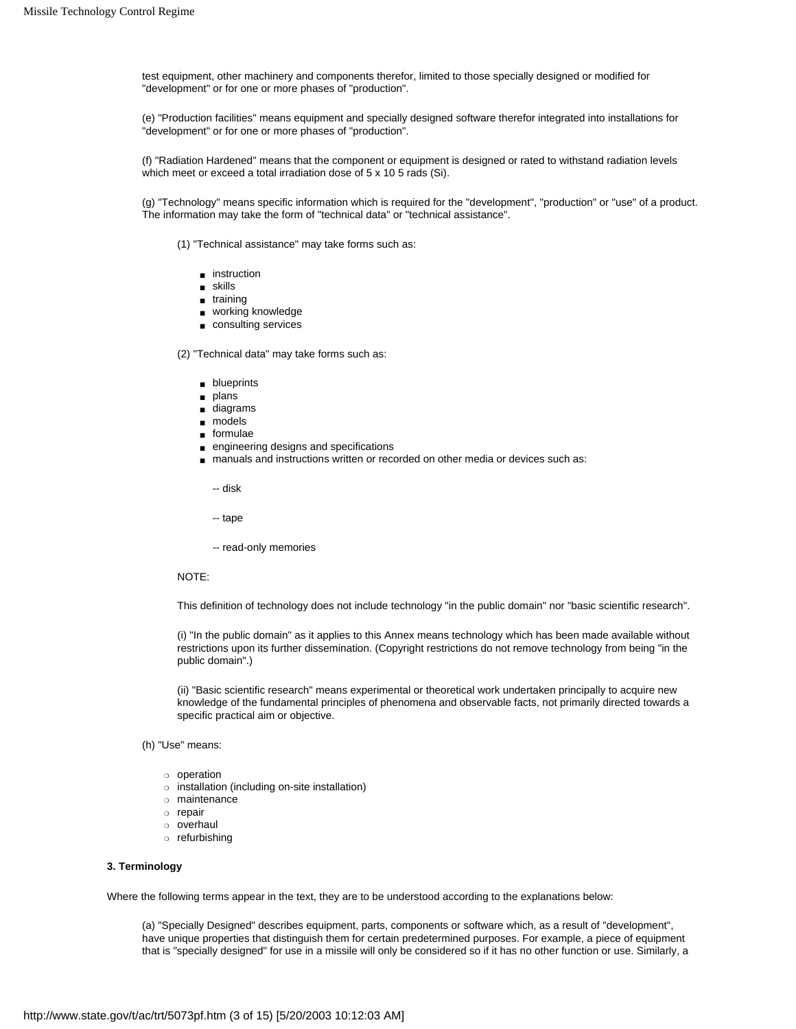test equipment, other machinery and components therefor, limited to those specially designed or modified for "development" or for one or more phases of "production".

(e) "Production facilities" means equipment and specially designed software therefor integrated into installations for "development" or for one or more phases of "production".

(f) "Radiation Hardened" means that the component or equipment is designed or rated to withstand radiation levels which meet or exceed a total irradiation dose of 5 x 10 5 rads (Si).

(g) "Technology" means specific information which is required for the "development", "production" or "use" of a product. The information may take the form of "technical data" or "technical assistance".

(1) "Technical assistance" may take forms such as:

- instruction
- skills
- training
- working knowledge
- consulting services

(2) "Technical data" may take forms such as:

- blueprints
- plans
- diagrams
- models
- formulae
- engineering designs and specifications
- manuals and instructions written or recorded on other media or devices such as:
	- -- disk
	- -- tape
	- -- read-only memories

# NOTE:

This definition of technology does not include technology "in the public domain" nor "basic scientific research".

(i) "In the public domain" as it applies to this Annex means technology which has been made available without restrictions upon its further dissemination. (Copyright restrictions do not remove technology from being "in the public domain".)

(ii) "Basic scientific research" means experimental or theoretical work undertaken principally to acquire new knowledge of the fundamental principles of phenomena and observable facts, not primarily directed towards a specific practical aim or objective.

# (h) "Use" means:

- ❍ operation
- ❍ installation (including on-site installation)
- ❍ maintenance
- ❍ repair
- ❍ overhaul
- ❍ refurbishing

#### **3. Terminology**

Where the following terms appear in the text, they are to be understood according to the explanations below:

(a) "Specially Designed" describes equipment, parts, components or software which, as a result of "development", have unique properties that distinguish them for certain predetermined purposes. For example, a piece of equipment that is "specially designed" for use in a missile will only be considered so if it has no other function or use. Similarly, a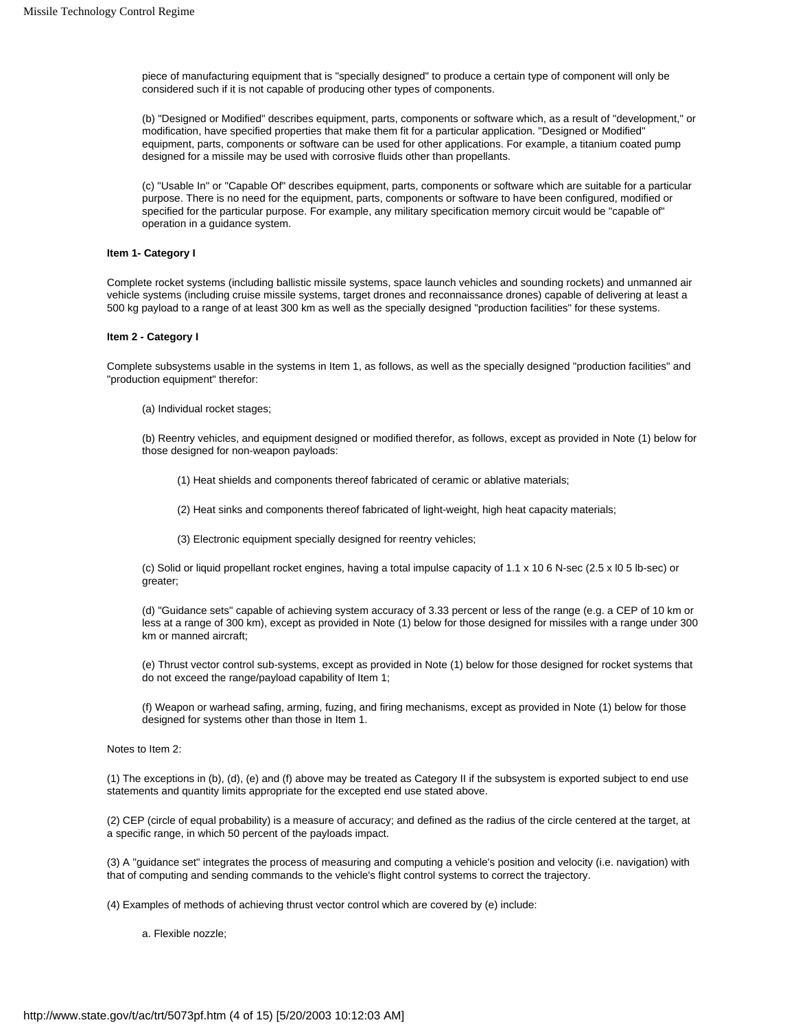piece of manufacturing equipment that is "specially designed" to produce a certain type of component will only be considered such if it is not capable of producing other types of components.

(b) "Designed or Modified" describes equipment, parts, components or software which, as a result of "development," or modification, have specified properties that make them fit for a particular application. "Designed or Modified" equipment, parts, components or software can be used for other applications. For example, a titanium coated pump designed for a missile may be used with corrosive fluids other than propellants.

(c) "Usable In" or "Capable Of" describes equipment, parts, components or software which are suitable for a particular purpose. There is no need for the equipment, parts, components or software to have been configured, modified or specified for the particular purpose. For example, any military specification memory circuit would be "capable of" operation in a guidance system.

# **Item 1- Category I**

Complete rocket systems (including ballistic missile systems, space launch vehicles and sounding rockets) and unmanned air vehicle systems (including cruise missile systems, target drones and reconnaissance drones) capable of delivering at least a 500 kg payload to a range of at least 300 km as well as the specially designed "production facilities" for these systems.

## **Item 2 - Category I**

Complete subsystems usable in the systems in Item 1, as follows, as well as the specially designed "production facilities" and "production equipment" therefor:

(a) Individual rocket stages;

(b) Reentry vehicles, and equipment designed or modified therefor, as follows, except as provided in Note (1) below for those designed for non-weapon payloads:

- (1) Heat shields and components thereof fabricated of ceramic or ablative materials;
- (2) Heat sinks and components thereof fabricated of light-weight, high heat capacity materials;
- (3) Electronic equipment specially designed for reentry vehicles;

(c) Solid or liquid propellant rocket engines, having a total impulse capacity of 1.1 x 10 6 N-sec (2.5 x l0 5 lb-sec) or greater;

(d) "Guidance sets" capable of achieving system accuracy of 3.33 percent or less of the range (e.g. a CEP of 10 km or less at a range of 300 km), except as provided in Note (1) below for those designed for missiles with a range under 300 km or manned aircraft;

(e) Thrust vector control sub-systems, except as provided in Note (1) below for those designed for rocket systems that do not exceed the range/payload capability of Item 1;

(f) Weapon or warhead safing, arming, fuzing, and firing mechanisms, except as provided in Note (1) below for those designed for systems other than those in Item 1.

# Notes to Item 2:

(1) The exceptions in (b), (d), (e) and (f) above may be treated as Category II if the subsystem is exported subject to end use statements and quantity limits appropriate for the excepted end use stated above.

(2) CEP (circle of equal probability) is a measure of accuracy; and defined as the radius of the circle centered at the target, at a specific range, in which 50 percent of the payloads impact.

(3) A "guidance set" integrates the process of measuring and computing a vehicle's position and velocity (i.e. navigation) with that of computing and sending commands to the vehicle's flight control systems to correct the trajectory.

(4) Examples of methods of achieving thrust vector control which are covered by (e) include:

a. Flexible nozzle;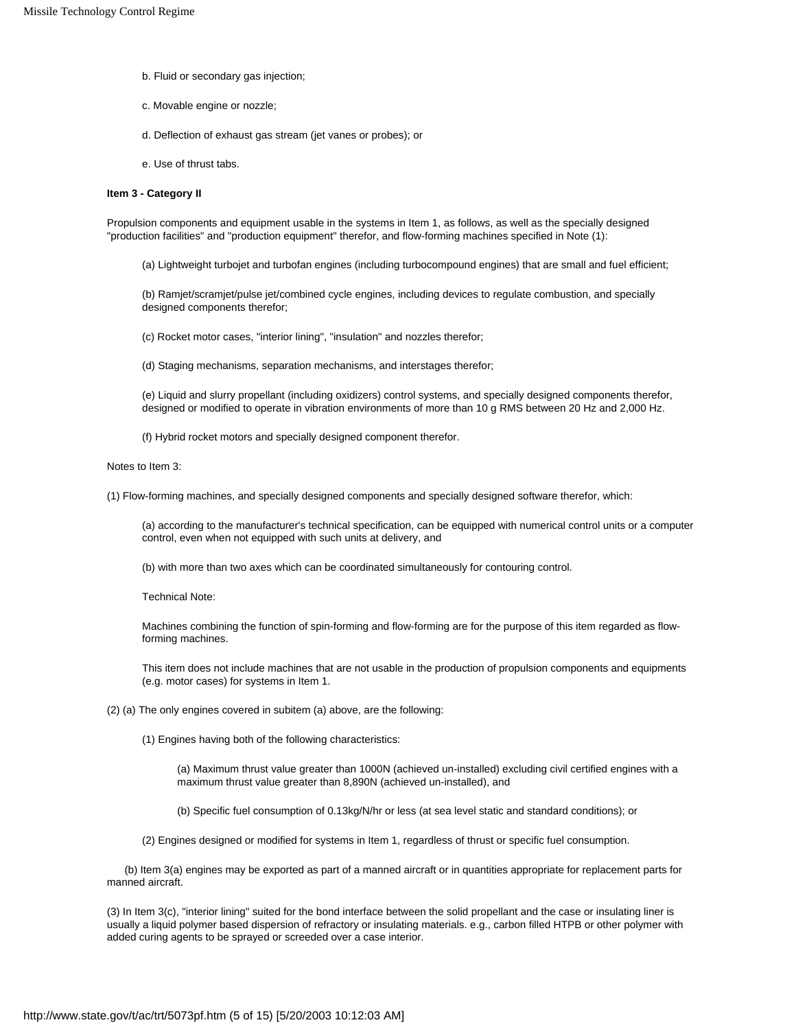- b. Fluid or secondary gas injection;
- c. Movable engine or nozzle;
- d. Deflection of exhaust gas stream (jet vanes or probes); or
- e. Use of thrust tabs.

# **Item 3 - Category II**

Propulsion components and equipment usable in the systems in Item 1, as follows, as well as the specially designed "production facilities" and "production equipment" therefor, and flow-forming machines specified in Note (1):

(a) Lightweight turbojet and turbofan engines (including turbocompound engines) that are small and fuel efficient;

(b) Ramjet/scramjet/pulse jet/combined cycle engines, including devices to regulate combustion, and specially designed components therefor;

(c) Rocket motor cases, "interior lining", "insulation" and nozzles therefor;

(d) Staging mechanisms, separation mechanisms, and interstages therefor;

(e) Liquid and slurry propellant (including oxidizers) control systems, and specially designed components therefor, designed or modified to operate in vibration environments of more than 10 g RMS between 20 Hz and 2,000 Hz.

(f) Hybrid rocket motors and specially designed component therefor.

#### Notes to Item 3:

(1) Flow-forming machines, and specially designed components and specially designed software therefor, which:

(a) according to the manufacturer's technical specification, can be equipped with numerical control units or a computer control, even when not equipped with such units at delivery, and

(b) with more than two axes which can be coordinated simultaneously for contouring control.

Technical Note:

Machines combining the function of spin-forming and flow-forming are for the purpose of this item regarded as flowforming machines.

This item does not include machines that are not usable in the production of propulsion components and equipments (e.g. motor cases) for systems in Item 1.

(2) (a) The only engines covered in subitem (a) above, are the following:

(1) Engines having both of the following characteristics:

(a) Maximum thrust value greater than 1000N (achieved un-installed) excluding civil certified engines with a maximum thrust value greater than 8,890N (achieved un-installed), and

(b) Specific fuel consumption of 0.13kg/N/hr or less (at sea level static and standard conditions); or

(2) Engines designed or modified for systems in Item 1, regardless of thrust or specific fuel consumption.

 (b) Item 3(a) engines may be exported as part of a manned aircraft or in quantities appropriate for replacement parts for manned aircraft.

(3) In Item 3(c), "interior lining" suited for the bond interface between the solid propellant and the case or insulating liner is usually a liquid polymer based dispersion of refractory or insulating materials. e.g., carbon filled HTPB or other polymer with added curing agents to be sprayed or screeded over a case interior.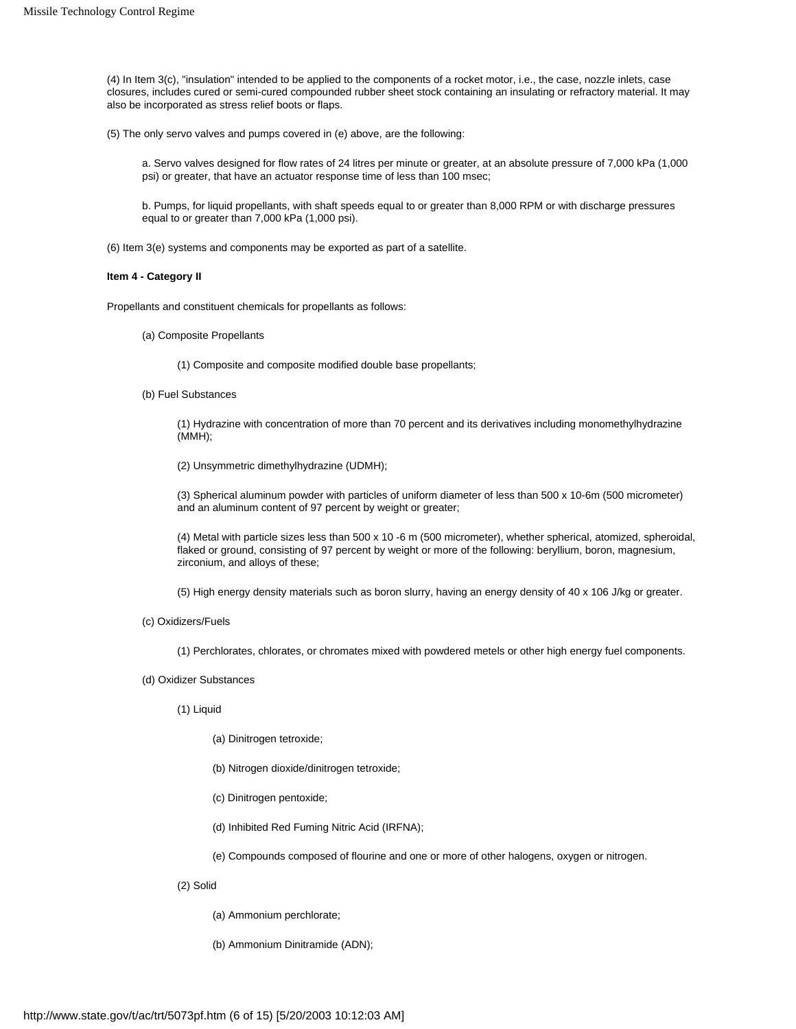(4) In Item 3(c), "insulation" intended to be applied to the components of a rocket motor, i.e., the case, nozzle inlets, case closures, includes cured or semi-cured compounded rubber sheet stock containing an insulating or refractory material. It may also be incorporated as stress relief boots or flaps.

(5) The only servo valves and pumps covered in (e) above, are the following:

a. Servo valves designed for flow rates of 24 litres per minute or greater, at an absolute pressure of 7,000 kPa (1,000 psi) or greater, that have an actuator response time of less than 100 msec;

b. Pumps, for liquid propellants, with shaft speeds equal to or greater than 8,000 RPM or with discharge pressures equal to or greater than 7,000 kPa (1,000 psi).

(6) Item 3(e) systems and components may be exported as part of a satellite.

## **Item 4 - Category II**

Propellants and constituent chemicals for propellants as follows:

(a) Composite Propellants

(1) Composite and composite modified double base propellants;

(b) Fuel Substances

(1) Hydrazine with concentration of more than 70 percent and its derivatives including monomethylhydrazine (MMH);

(2) Unsymmetric dimethylhydrazine (UDMH);

(3) Spherical aluminum powder with particles of uniform diameter of less than 500 x 10-6m (500 micrometer) and an aluminum content of 97 percent by weight or greater;

(4) Metal with particle sizes less than 500 x 10 -6 m (500 micrometer), whether spherical, atomized, spheroidal, flaked or ground, consisting of 97 percent by weight or more of the following: beryllium, boron, magnesium, zirconium, and alloys of these;

(5) High energy density materials such as boron slurry, having an energy density of 40 x 106 J/kg or greater.

(c) Oxidizers/Fuels

(1) Perchlorates, chlorates, or chromates mixed with powdered metels or other high energy fuel components.

- (d) Oxidizer Substances
	- (1) Liquid

(a) Dinitrogen tetroxide;

- (b) Nitrogen dioxide/dinitrogen tetroxide;
- (c) Dinitrogen pentoxide;
- (d) Inhibited Red Fuming Nitric Acid (IRFNA);

(e) Compounds composed of flourine and one or more of other halogens, oxygen or nitrogen.

(2) Solid

(a) Ammonium perchlorate;

(b) Ammonium Dinitramide (ADN);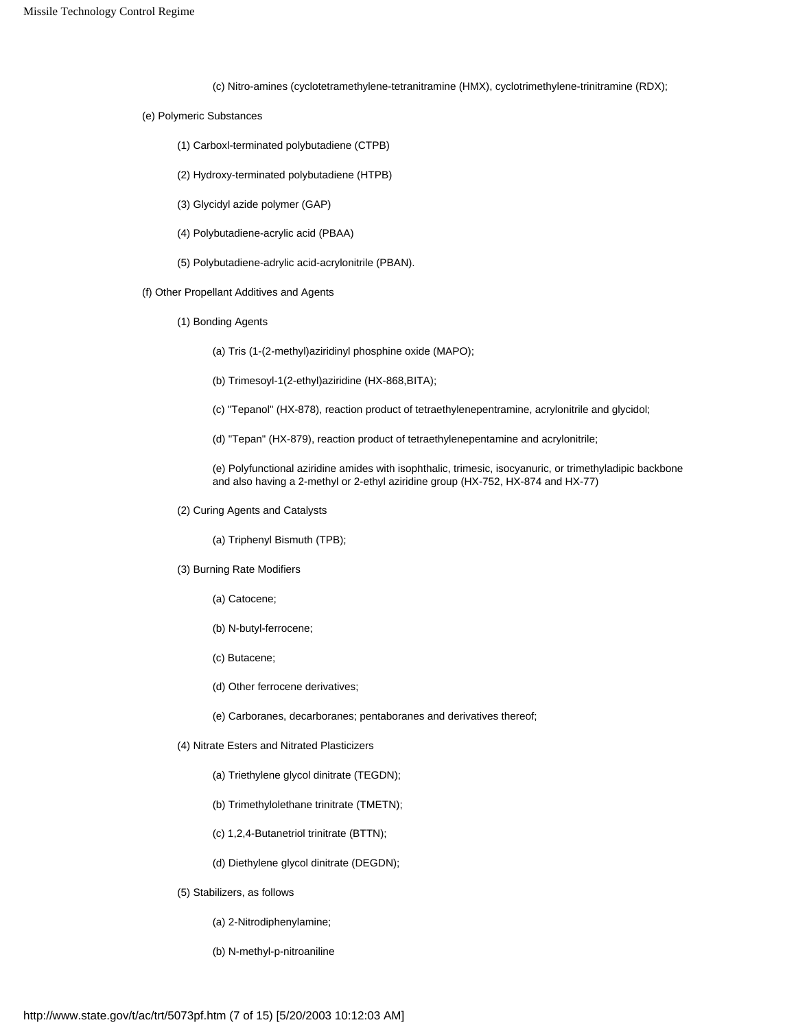(c) Nitro-amines (cyclotetramethylene-tetranitramine (HMX), cyclotrimethylene-trinitramine (RDX);

- (e) Polymeric Substances
	- (1) Carboxl-terminated polybutadiene (CTPB)
	- (2) Hydroxy-terminated polybutadiene (HTPB)
	- (3) Glycidyl azide polymer (GAP)
	- (4) Polybutadiene-acrylic acid (PBAA)
	- (5) Polybutadiene-adrylic acid-acrylonitrile (PBAN).
- (f) Other Propellant Additives and Agents
	- (1) Bonding Agents
		- (a) Tris (1-(2-methyl)aziridinyl phosphine oxide (MAPO);
		- (b) Trimesoyl-1(2-ethyl)aziridine (HX-868,BITA);
		- (c) "Tepanol" (HX-878), reaction product of tetraethylenepentramine, acrylonitrile and glycidol;
		- (d) "Tepan" (HX-879), reaction product of tetraethylenepentamine and acrylonitrile;
		- (e) Polyfunctional aziridine amides with isophthalic, trimesic, isocyanuric, or trimethyladipic backbone and also having a 2-methyl or 2-ethyl aziridine group (HX-752, HX-874 and HX-77)
	- (2) Curing Agents and Catalysts

(a) Triphenyl Bismuth (TPB);

- (3) Burning Rate Modifiers
	- (a) Catocene;
	- (b) N-butyl-ferrocene;
	- (c) Butacene;
	- (d) Other ferrocene derivatives;
	- (e) Carboranes, decarboranes; pentaboranes and derivatives thereof;
- (4) Nitrate Esters and Nitrated Plasticizers
	- (a) Triethylene glycol dinitrate (TEGDN);
	- (b) Trimethylolethane trinitrate (TMETN);
	- (c) 1,2,4-Butanetriol trinitrate (BTTN);
	- (d) Diethylene glycol dinitrate (DEGDN);
- (5) Stabilizers, as follows
	- (a) 2-Nitrodiphenylamine;
	- (b) N-methyl-p-nitroaniline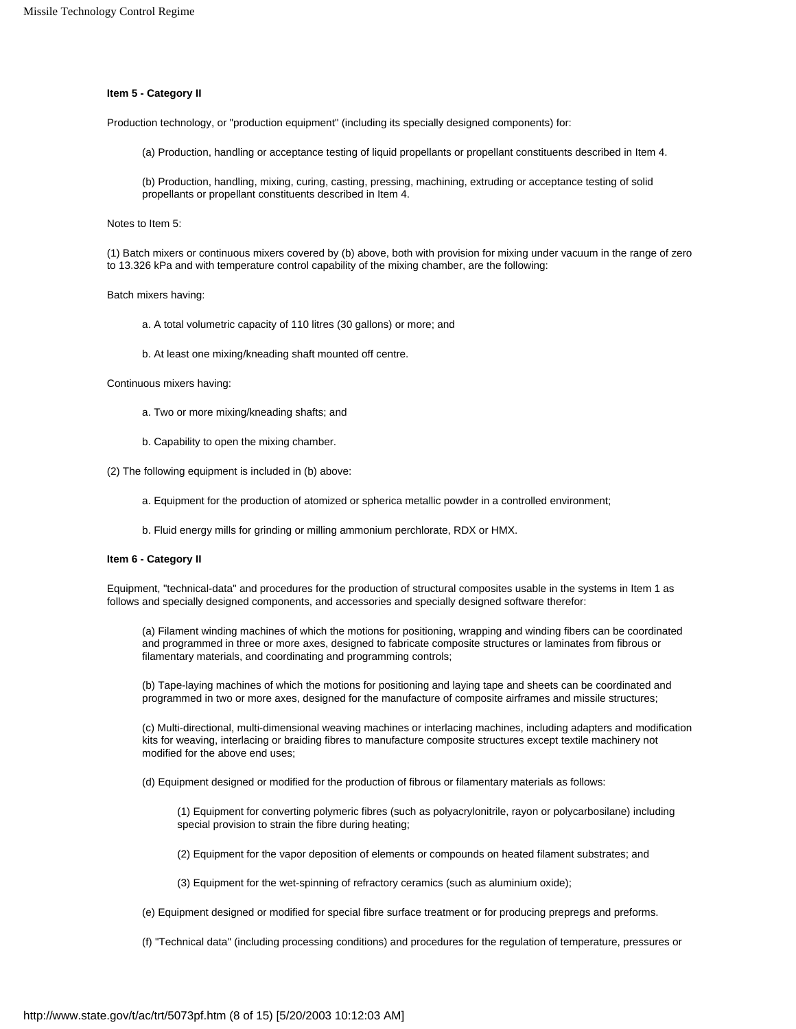# **Item 5 - Category II**

Production technology, or "production equipment" (including its specially designed components) for:

(a) Production, handling or acceptance testing of liquid propellants or propellant constituents described in Item 4.

(b) Production, handling, mixing, curing, casting, pressing, machining, extruding or acceptance testing of solid propellants or propellant constituents described in Item 4.

Notes to Item 5:

(1) Batch mixers or continuous mixers covered by (b) above, both with provision for mixing under vacuum in the range of zero to 13.326 kPa and with temperature control capability of the mixing chamber, are the following:

Batch mixers having:

a. A total volumetric capacity of 110 litres (30 gallons) or more; and

b. At least one mixing/kneading shaft mounted off centre.

Continuous mixers having:

- a. Two or more mixing/kneading shafts; and
- b. Capability to open the mixing chamber.

(2) The following equipment is included in (b) above:

- a. Equipment for the production of atomized or spherica metallic powder in a controlled environment;
- b. Fluid energy mills for grinding or milling ammonium perchlorate, RDX or HMX.

#### **Item 6 - Category II**

Equipment, "technical-data" and procedures for the production of structural composites usable in the systems in Item 1 as follows and specially designed components, and accessories and specially designed software therefor:

(a) Filament winding machines of which the motions for positioning, wrapping and winding fibers can be coordinated and programmed in three or more axes, designed to fabricate composite structures or laminates from fibrous or filamentary materials, and coordinating and programming controls;

(b) Tape-laying machines of which the motions for positioning and laying tape and sheets can be coordinated and programmed in two or more axes, designed for the manufacture of composite airframes and missile structures;

(c) Multi-directional, multi-dimensional weaving machines or interlacing machines, including adapters and modification kits for weaving, interlacing or braiding fibres to manufacture composite structures except textile machinery not modified for the above end uses;

(d) Equipment designed or modified for the production of fibrous or filamentary materials as follows:

(1) Equipment for converting polymeric fibres (such as polyacrylonitrile, rayon or polycarbosilane) including special provision to strain the fibre during heating;

(2) Equipment for the vapor deposition of elements or compounds on heated filament substrates; and

(3) Equipment for the wet-spinning of refractory ceramics (such as aluminium oxide);

(e) Equipment designed or modified for special fibre surface treatment or for producing prepregs and preforms.

(f) "Technical data" (including processing conditions) and procedures for the regulation of temperature, pressures or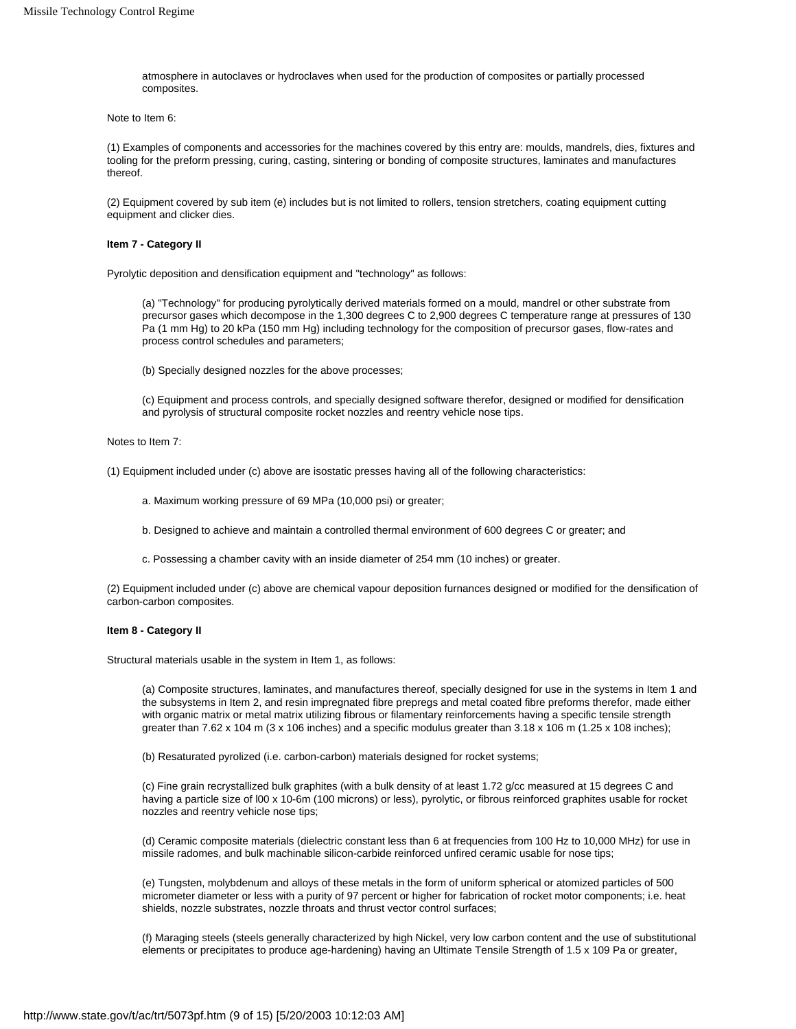atmosphere in autoclaves or hydroclaves when used for the production of composites or partially processed composites.

Note to Item 6:

(1) Examples of components and accessories for the machines covered by this entry are: moulds, mandrels, dies, fixtures and tooling for the preform pressing, curing, casting, sintering or bonding of composite structures, laminates and manufactures thereof.

(2) Equipment covered by sub item (e) includes but is not limited to rollers, tension stretchers, coating equipment cutting equipment and clicker dies.

# **Item 7 - Category II**

Pyrolytic deposition and densification equipment and "technology" as follows:

(a) "Technology" for producing pyrolytically derived materials formed on a mould, mandrel or other substrate from precursor gases which decompose in the 1,300 degrees C to 2,900 degrees C temperature range at pressures of 130 Pa (1 mm Hg) to 20 kPa (150 mm Hg) including technology for the composition of precursor gases, flow-rates and process control schedules and parameters;

(b) Specially designed nozzles for the above processes;

(c) Equipment and process controls, and specially designed software therefor, designed or modified for densification and pyrolysis of structural composite rocket nozzles and reentry vehicle nose tips.

Notes to Item 7:

(1) Equipment included under (c) above are isostatic presses having all of the following characteristics:

a. Maximum working pressure of 69 MPa (10,000 psi) or greater;

- b. Designed to achieve and maintain a controlled thermal environment of 600 degrees C or greater; and
- c. Possessing a chamber cavity with an inside diameter of 254 mm (10 inches) or greater.

(2) Equipment included under (c) above are chemical vapour deposition furnances designed or modified for the densification of carbon-carbon composites.

## **Item 8 - Category II**

Structural materials usable in the system in Item 1, as follows:

(a) Composite structures, laminates, and manufactures thereof, specially designed for use in the systems in Item 1 and the subsystems in Item 2, and resin impregnated fibre prepregs and metal coated fibre preforms therefor, made either with organic matrix or metal matrix utilizing fibrous or filamentary reinforcements having a specific tensile strength greater than 7.62 x 104 m (3 x 106 inches) and a specific modulus greater than 3.18 x 106 m (1.25 x 108 inches);

(b) Resaturated pyrolized (i.e. carbon-carbon) materials designed for rocket systems;

(c) Fine grain recrystallized bulk graphites (with a bulk density of at least 1.72 g/cc measured at 15 degrees C and having a particle size of l00 x 10-6m (100 microns) or less), pyrolytic, or fibrous reinforced graphites usable for rocket nozzles and reentry vehicle nose tips;

(d) Ceramic composite materials (dielectric constant less than 6 at frequencies from 100 Hz to 10,000 MHz) for use in missile radomes, and bulk machinable silicon-carbide reinforced unfired ceramic usable for nose tips;

(e) Tungsten, molybdenum and alloys of these metals in the form of uniform spherical or atomized particles of 500 micrometer diameter or less with a purity of 97 percent or higher for fabrication of rocket motor components; i.e. heat shields, nozzle substrates, nozzle throats and thrust vector control surfaces;

(f) Maraging steels (steels generally characterized by high Nickel, very low carbon content and the use of substitutional elements or precipitates to produce age-hardening) having an Ultimate Tensile Strength of 1.5 x 109 Pa or greater,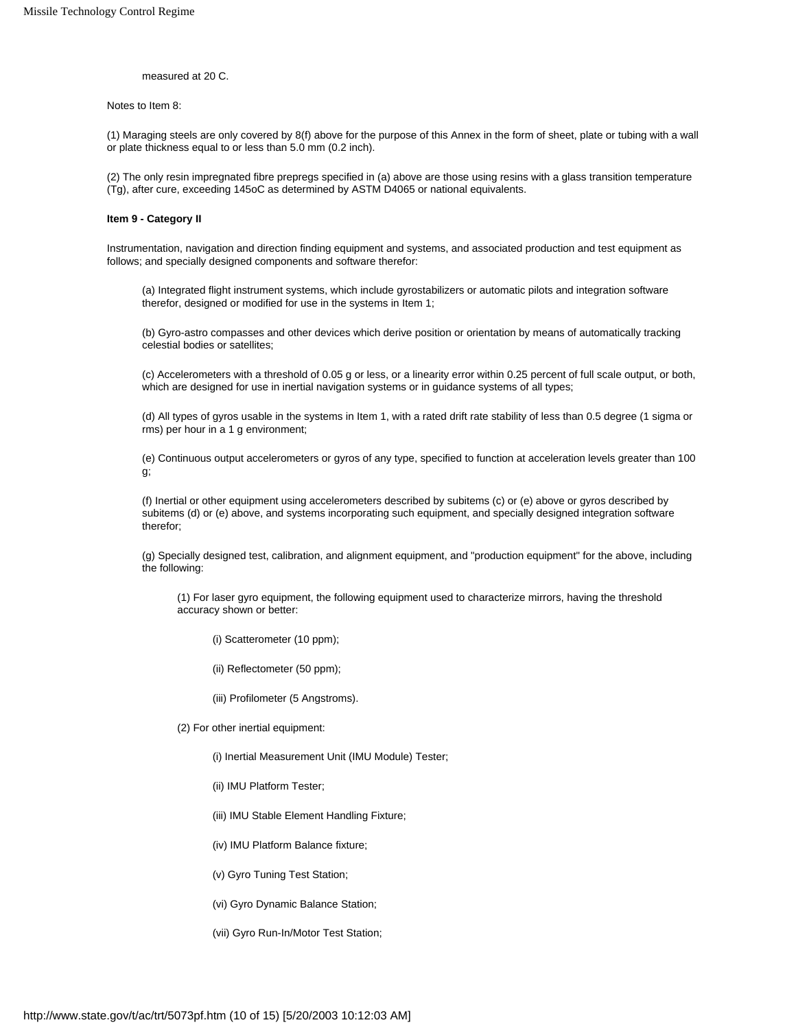measured at 20 C.

Notes to Item 8:

(1) Maraging steels are only covered by 8(f) above for the purpose of this Annex in the form of sheet, plate or tubing with a wall or plate thickness equal to or less than 5.0 mm (0.2 inch).

(2) The only resin impregnated fibre prepregs specified in (a) above are those using resins with a glass transition temperature (Tg), after cure, exceeding 145oC as determined by ASTM D4065 or national equivalents.

#### **Item 9 - Category II**

Instrumentation, navigation and direction finding equipment and systems, and associated production and test equipment as follows; and specially designed components and software therefor:

(a) Integrated flight instrument systems, which include gyrostabilizers or automatic pilots and integration software therefor, designed or modified for use in the systems in Item 1;

(b) Gyro-astro compasses and other devices which derive position or orientation by means of automatically tracking celestial bodies or satellites;

(c) Accelerometers with a threshold of 0.05 g or less, or a linearity error within 0.25 percent of full scale output, or both, which are designed for use in inertial navigation systems or in guidance systems of all types;

(d) All types of gyros usable in the systems in Item 1, with a rated drift rate stability of less than 0.5 degree (1 sigma or rms) per hour in a 1 g environment;

(e) Continuous output accelerometers or gyros of any type, specified to function at acceleration levels greater than 100 g;

(f) Inertial or other equipment using accelerometers described by subitems (c) or (e) above or gyros described by subitems (d) or (e) above, and systems incorporating such equipment, and specially designed integration software therefor;

(g) Specially designed test, calibration, and alignment equipment, and "production equipment" for the above, including the following:

(1) For laser gyro equipment, the following equipment used to characterize mirrors, having the threshold accuracy shown or better:

(i) Scatterometer (10 ppm);

(ii) Reflectometer (50 ppm);

(iii) Profilometer (5 Angstroms).

(2) For other inertial equipment:

(i) Inertial Measurement Unit (IMU Module) Tester;

(ii) IMU Platform Tester;

(iii) IMU Stable Element Handling Fixture;

(iv) IMU Platform Balance fixture;

(v) Gyro Tuning Test Station;

(vi) Gyro Dynamic Balance Station;

(vii) Gyro Run-In/Motor Test Station;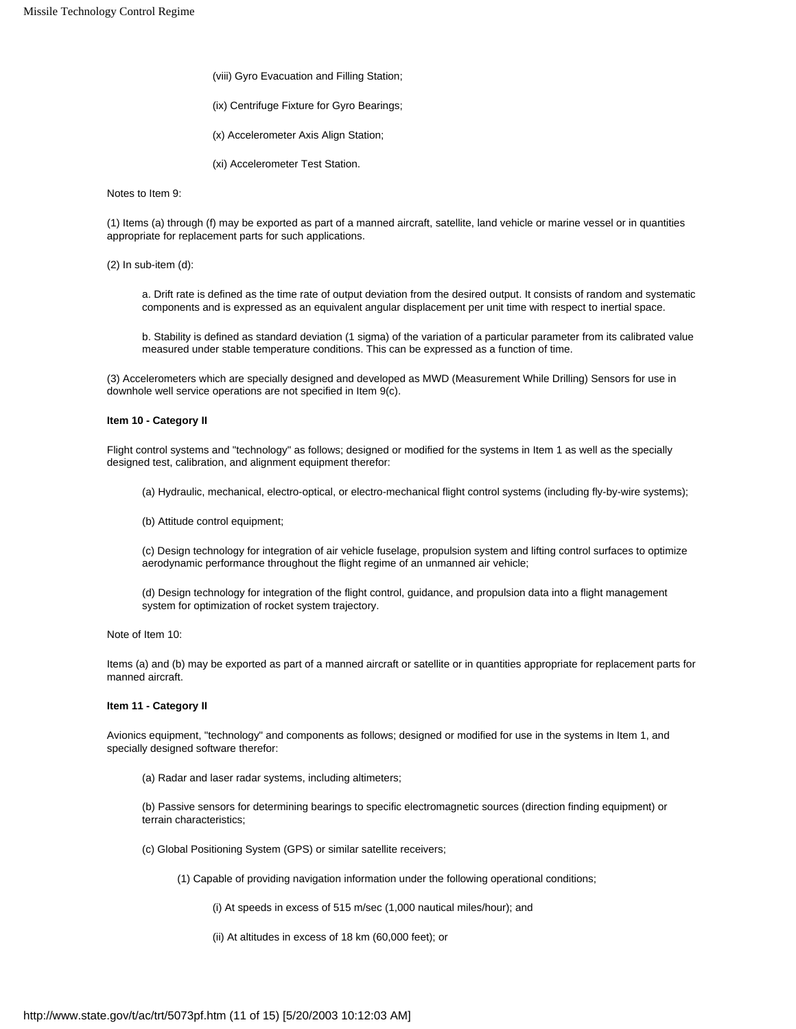- (viii) Gyro Evacuation and Filling Station;
- (ix) Centrifuge Fixture for Gyro Bearings;
- (x) Accelerometer Axis Align Station;
- (xi) Accelerometer Test Station.

Notes to Item 9:

(1) Items (a) through (f) may be exported as part of a manned aircraft, satellite, land vehicle or marine vessel or in quantities appropriate for replacement parts for such applications.

(2) In sub-item (d):

a. Drift rate is defined as the time rate of output deviation from the desired output. It consists of random and systematic components and is expressed as an equivalent angular displacement per unit time with respect to inertial space.

b. Stability is defined as standard deviation (1 sigma) of the variation of a particular parameter from its calibrated value measured under stable temperature conditions. This can be expressed as a function of time.

(3) Accelerometers which are specially designed and developed as MWD (Measurement While Drilling) Sensors for use in downhole well service operations are not specified in Item 9(c).

# **Item 10 - Category II**

Flight control systems and "technology" as follows; designed or modified for the systems in Item 1 as well as the specially designed test, calibration, and alignment equipment therefor:

- (a) Hydraulic, mechanical, electro-optical, or electro-mechanical flight control systems (including fly-by-wire systems);
- (b) Attitude control equipment;

(c) Design technology for integration of air vehicle fuselage, propulsion system and lifting control surfaces to optimize aerodynamic performance throughout the flight regime of an unmanned air vehicle;

(d) Design technology for integration of the flight control, guidance, and propulsion data into a flight management system for optimization of rocket system trajectory.

Note of Item 10:

Items (a) and (b) may be exported as part of a manned aircraft or satellite or in quantities appropriate for replacement parts for manned aircraft.

# **Item 11 - Category II**

Avionics equipment, "technology" and components as follows; designed or modified for use in the systems in Item 1, and specially designed software therefor:

(a) Radar and laser radar systems, including altimeters;

(b) Passive sensors for determining bearings to specific electromagnetic sources (direction finding equipment) or terrain characteristics;

(c) Global Positioning System (GPS) or similar satellite receivers;

(1) Capable of providing navigation information under the following operational conditions;

(i) At speeds in excess of 515 m/sec (1,000 nautical miles/hour); and

(ii) At altitudes in excess of 18 km (60,000 feet); or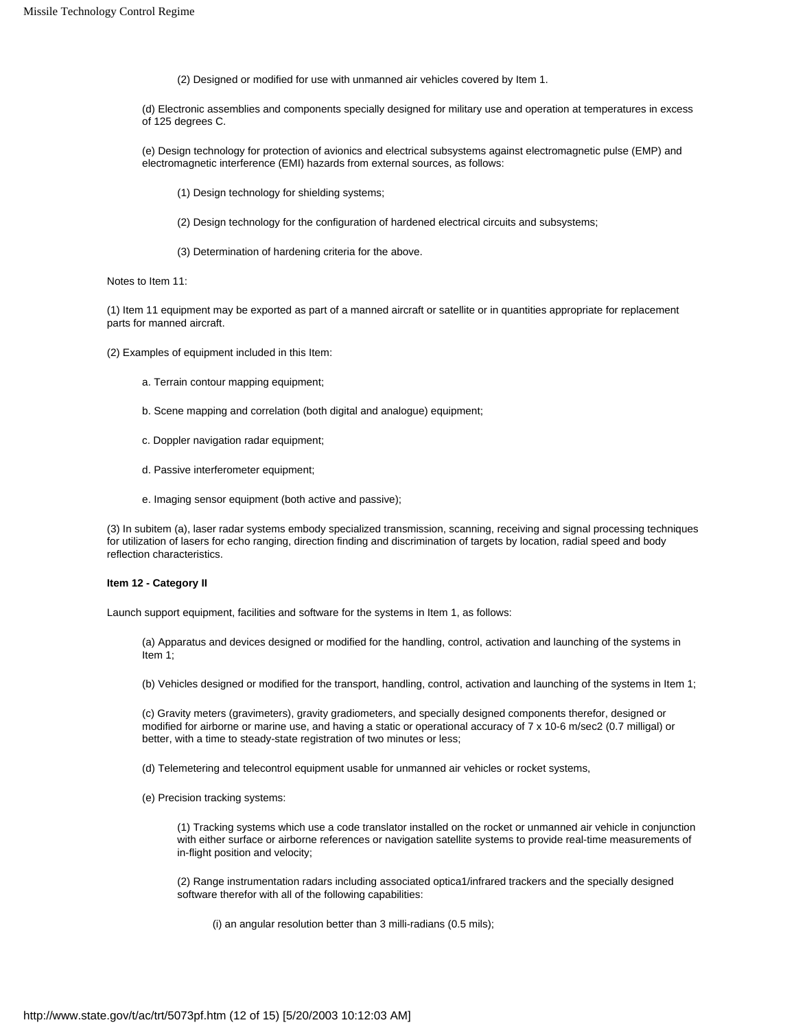(2) Designed or modified for use with unmanned air vehicles covered by Item 1.

(d) Electronic assemblies and components specially designed for military use and operation at temperatures in excess of 125 degrees C.

(e) Design technology for protection of avionics and electrical subsystems against electromagnetic pulse (EMP) and electromagnetic interference (EMI) hazards from external sources, as follows:

- (1) Design technology for shielding systems;
- (2) Design technology for the configuration of hardened electrical circuits and subsystems;
- (3) Determination of hardening criteria for the above.

Notes to Item 11:

(1) Item 11 equipment may be exported as part of a manned aircraft or satellite or in quantities appropriate for replacement parts for manned aircraft.

- (2) Examples of equipment included in this Item:
	- a. Terrain contour mapping equipment;
	- b. Scene mapping and correlation (both digital and analogue) equipment;
	- c. Doppler navigation radar equipment;
	- d. Passive interferometer equipment;
	- e. Imaging sensor equipment (both active and passive);

(3) In subitem (a), laser radar systems embody specialized transmission, scanning, receiving and signal processing techniques for utilization of lasers for echo ranging, direction finding and discrimination of targets by location, radial speed and body reflection characteristics.

## **Item 12 - Category II**

Launch support equipment, facilities and software for the systems in Item 1, as follows:

(a) Apparatus and devices designed or modified for the handling, control, activation and launching of the systems in Item 1;

(b) Vehicles designed or modified for the transport, handling, control, activation and launching of the systems in Item 1;

(c) Gravity meters (gravimeters), gravity gradiometers, and specially designed components therefor, designed or modified for airborne or marine use, and having a static or operational accuracy of 7 x 10-6 m/sec2 (0.7 milligal) or better, with a time to steady-state registration of two minutes or less;

(d) Telemetering and telecontrol equipment usable for unmanned air vehicles or rocket systems,

(e) Precision tracking systems:

(1) Tracking systems which use a code translator installed on the rocket or unmanned air vehicle in conjunction with either surface or airborne references or navigation satellite systems to provide real-time measurements of in-flight position and velocity;

(2) Range instrumentation radars including associated optica1/infrared trackers and the specially designed software therefor with all of the following capabilities:

(i) an angular resolution better than 3 milli-radians (0.5 mils);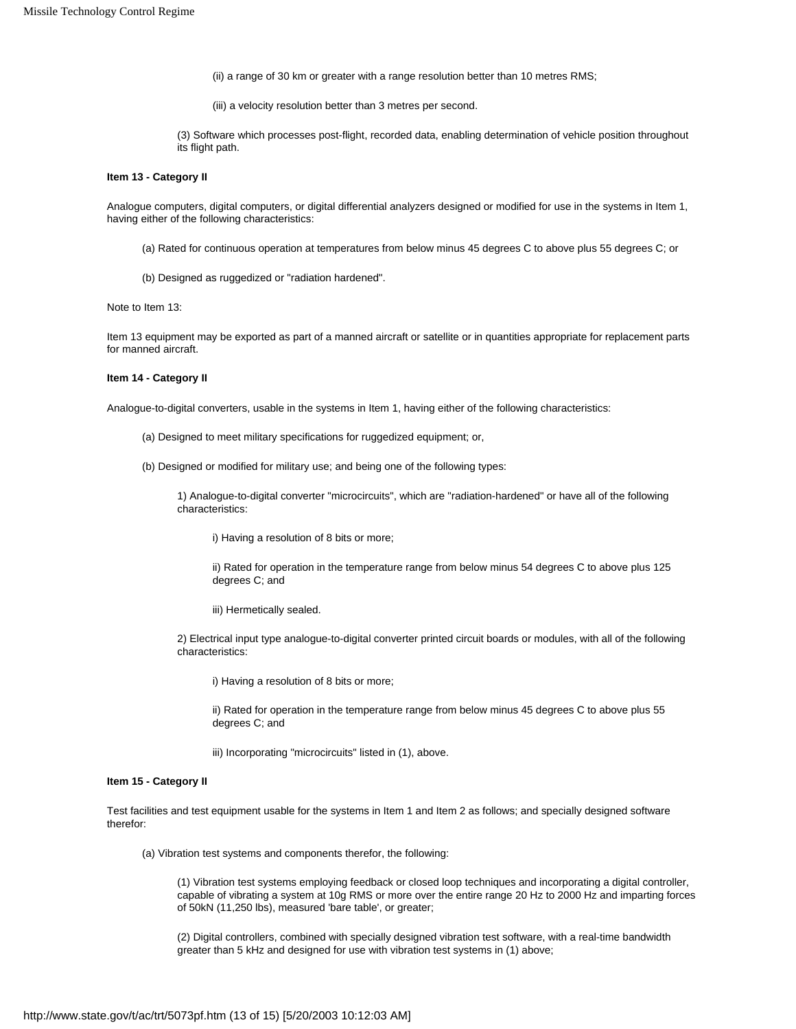(ii) a range of 30 km or greater with a range resolution better than 10 metres RMS;

(iii) a velocity resolution better than 3 metres per second.

(3) Software which processes post-flight, recorded data, enabling determination of vehicle position throughout its flight path.

#### **Item 13 - Category II**

Analogue computers, digital computers, or digital differential analyzers designed or modified for use in the systems in Item 1, having either of the following characteristics:

- (a) Rated for continuous operation at temperatures from below minus 45 degrees C to above plus 55 degrees C; or
- (b) Designed as ruggedized or "radiation hardened".

Note to Item 13:

Item 13 equipment may be exported as part of a manned aircraft or satellite or in quantities appropriate for replacement parts for manned aircraft.

# **Item 14 - Category II**

Analogue-to-digital converters, usable in the systems in Item 1, having either of the following characteristics:

- (a) Designed to meet military specifications for ruggedized equipment; or,
- (b) Designed or modified for military use; and being one of the following types:

1) Analogue-to-digital converter "microcircuits", which are "radiation-hardened" or have all of the following characteristics:

i) Having a resolution of 8 bits or more;

ii) Rated for operation in the temperature range from below minus 54 degrees C to above plus 125 degrees C; and

iii) Hermetically sealed.

2) Electrical input type analogue-to-digital converter printed circuit boards or modules, with all of the following characteristics:

i) Having a resolution of 8 bits or more;

ii) Rated for operation in the temperature range from below minus 45 degrees C to above plus 55 degrees C; and

iii) Incorporating "microcircuits" listed in (1), above.

#### **Item 15 - Category II**

Test facilities and test equipment usable for the systems in Item 1 and Item 2 as follows; and specially designed software therefor:

(a) Vibration test systems and components therefor, the following:

(1) Vibration test systems employing feedback or closed loop techniques and incorporating a digital controller, capable of vibrating a system at 10g RMS or more over the entire range 20 Hz to 2000 Hz and imparting forces of 50kN (11,250 lbs), measured 'bare table', or greater;

(2) Digital controllers, combined with specially designed vibration test software, with a real-time bandwidth greater than 5 kHz and designed for use with vibration test systems in (1) above;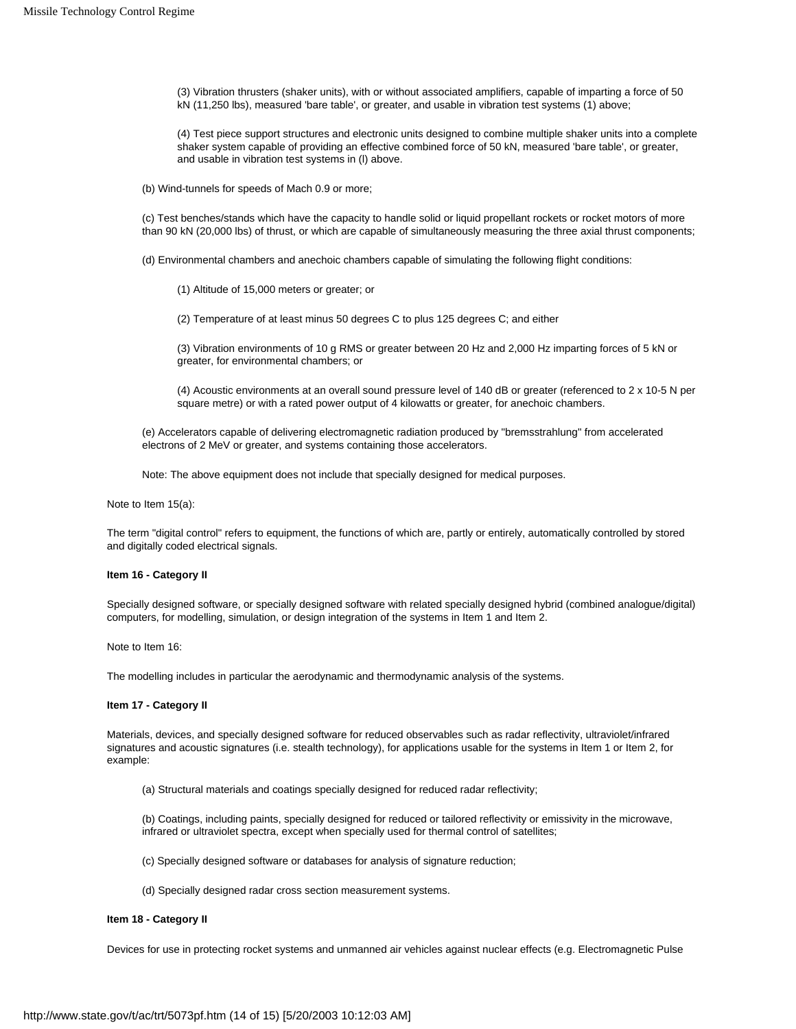(3) Vibration thrusters (shaker units), with or without associated amplifiers, capable of imparting a force of 50 kN (11,250 lbs), measured 'bare table', or greater, and usable in vibration test systems (1) above;

(4) Test piece support structures and electronic units designed to combine multiple shaker units into a complete shaker system capable of providing an effective combined force of 50 kN, measured 'bare table', or greater, and usable in vibration test systems in (l) above.

(b) Wind-tunnels for speeds of Mach 0.9 or more;

(c) Test benches/stands which have the capacity to handle solid or liquid propellant rockets or rocket motors of more than 90 kN (20,000 lbs) of thrust, or which are capable of simultaneously measuring the three axial thrust components;

(d) Environmental chambers and anechoic chambers capable of simulating the following flight conditions:

(1) Altitude of 15,000 meters or greater; or

(2) Temperature of at least minus 50 degrees C to plus 125 degrees C; and either

(3) Vibration environments of 10 g RMS or greater between 20 Hz and 2,000 Hz imparting forces of 5 kN or greater, for environmental chambers; or

(4) Acoustic environments at an overall sound pressure level of 140 dB or greater (referenced to 2 x 10-5 N per square metre) or with a rated power output of 4 kilowatts or greater, for anechoic chambers.

(e) Accelerators capable of delivering electromagnetic radiation produced by "bremsstrahlung" from accelerated electrons of 2 MeV or greater, and systems containing those accelerators.

Note: The above equipment does not include that specially designed for medical purposes.

Note to Item 15(a):

The term "digital control" refers to equipment, the functions of which are, partly or entirely, automatically controlled by stored and digitally coded electrical signals.

#### **Item 16 - Category II**

Specially designed software, or specially designed software with related specially designed hybrid (combined analogue/digital) computers, for modelling, simulation, or design integration of the systems in Item 1 and Item 2.

Note to Item 16:

The modelling includes in particular the aerodynamic and thermodynamic analysis of the systems.

#### **Item 17 - Category II**

Materials, devices, and specially designed software for reduced observables such as radar reflectivity, ultraviolet/infrared signatures and acoustic signatures (i.e. stealth technology), for applications usable for the systems in Item 1 or Item 2, for example:

(a) Structural materials and coatings specially designed for reduced radar reflectivity;

(b) Coatings, including paints, specially designed for reduced or tailored reflectivity or emissivity in the microwave, infrared or ultraviolet spectra, except when specially used for thermal control of satellites;

(c) Specially designed software or databases for analysis of signature reduction;

(d) Specially designed radar cross section measurement systems.

# **Item 18 - Category II**

Devices for use in protecting rocket systems and unmanned air vehicles against nuclear effects (e.g. Electromagnetic Pulse